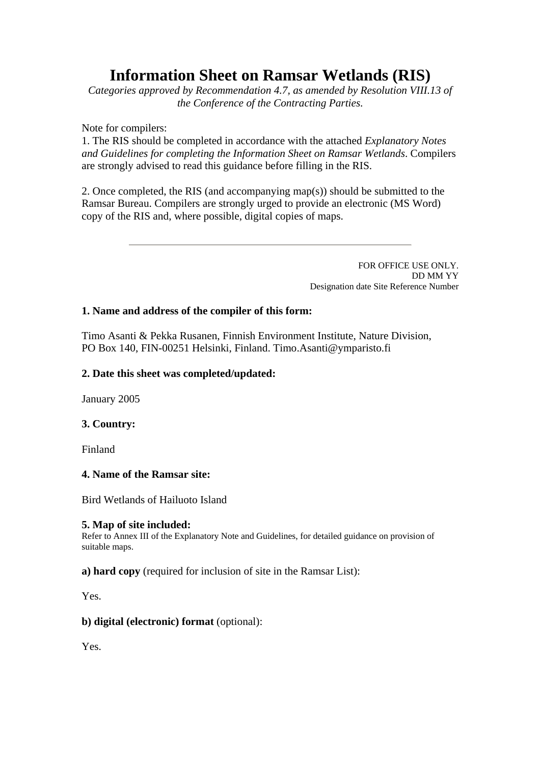# **Information Sheet on Ramsar Wetlands (RIS)**

*Categories approved by Recommendation 4.7, as amended by Resolution VIII.13 of the Conference of the Contracting Parties.*

Note for compilers:

1. The RIS should be completed in accordance with the attached *Explanatory Notes and Guidelines for completing the Information Sheet on Ramsar Wetlands*. Compilers are strongly advised to read this guidance before filling in the RIS.

2. Once completed, the RIS (and accompanying map(s)) should be submitted to the Ramsar Bureau. Compilers are strongly urged to provide an electronic (MS Word) copy of the RIS and, where possible, digital copies of maps.

> FOR OFFICE USE ONLY. DD MM YY Designation date Site Reference Number

# **1. Name and address of the compiler of this form:**

Timo Asanti & Pekka Rusanen, Finnish Environment Institute, Nature Division, PO Box 140, FIN-00251 Helsinki, Finland. Timo.Asanti@ymparisto.fi

# **2. Date this sheet was completed/updated:**

January 2005

# **3. Country:**

Finland

# **4. Name of the Ramsar site:**

Bird Wetlands of Hailuoto Island

#### **5. Map of site included:**

Refer to Annex III of the Explanatory Note and Guidelines, for detailed guidance on provision of suitable maps.

# **a) hard copy** (required for inclusion of site in the Ramsar List):

Yes.

# **b) digital (electronic) format** (optional):

Yes.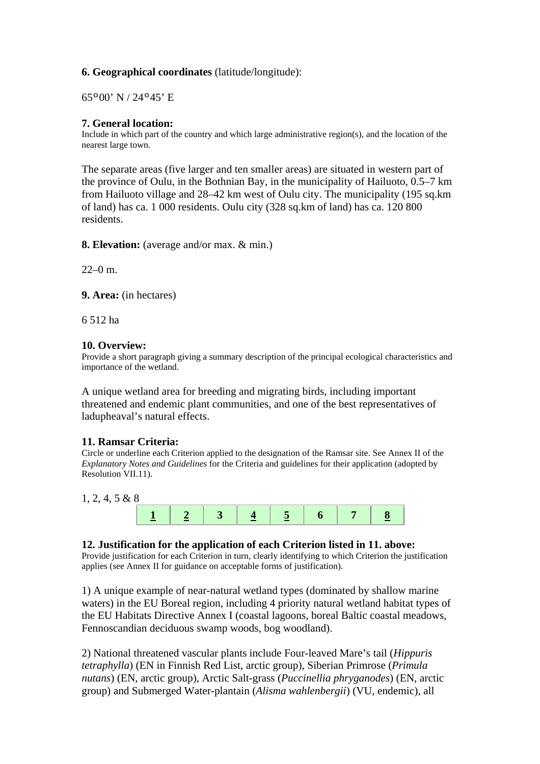# **6. Geographical coordinates** (latitude/longitude):

65º00' N / 24º45' E

**7. General location:**<br>Include in which part of the country and which large administrative region(s), and the location of the nearest large town.

The separate areas (five larger and ten smaller areas) are situated in western part of the province of Oulu, in the Bothnian Bay, in the municipality of Hailuoto, 0.5–7 km from Hailuoto village and 28–42 km west of Oulu city. The municipality (195 sq.km of land) has ca. 1 000 residents. Oulu city (328 sq.km of land) has ca. 120 800 residents.

**8. Elevation:** (average and/or max. & min.)

 $22-0$  m.

**9. Area:** (in hectares)

6 512 ha

# **10. Overview:**

Provide a short paragraph giving a summary description of the principal ecological characteristics and importance of the wetland.

A unique wetland area for breeding and migrating birds, including important threatened and endemic plant communities, and one of the best representatives of ladupheaval's natural effects.

# **11. Ramsar Criteria:**

Circle or underline each Criterion applied to the designation of the Ramsar site. See Annex II of the *Explanatory Notes and Guidelines* for the Criteria and guidelines for their application (adopted by Resolution VII.11).

#### 1, 2, 4, 5 & 8



#### **12. Justification for the application of each Criterion listed in 11. above:**

Provide justification for each Criterion in turn, clearly identifying to which Criterion the justification applies (see Annex II for guidance on acceptable forms of justification).

1) A unique example of near-natural wetland types (dominated by shallow marine waters) in the EU Boreal region, including 4 priority natural wetland habitat types of the EU Habitats Directive Annex I (coastal lagoons, boreal Baltic coastal meadows, Fennoscandian deciduous swamp woods, bog woodland).

2) National threatened vascular plants include Four-leaved Mare's tail (*Hippuris tetraphylla*) (EN in Finnish Red List, arctic group), Siberian Primrose (*Primula nutans*) (EN, arctic group), Arctic Salt-grass (*Puccinellia phryganodes*) (EN, arctic group) and Submerged Water-plantain (*Alisma wahlenbergii*) (VU, endemic), all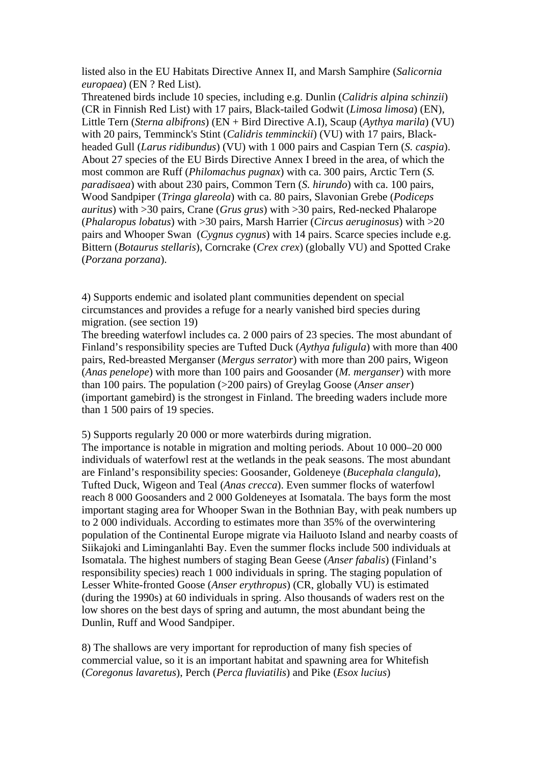listed also in the EU Habitats Directive Annex II, and Marsh Samphire (*Salicornia europaea*) (EN ? Red List).

Threatened birds include 10 species, including e.g. Dunlin (*Calidris alpina schinzii*) (CR in Finnish Red List) with 17 pairs, Black-tailed Godwit (*Limosa limosa*) (EN), Little Tern (*Sterna albifrons*) (EN + Bird Directive A.I), Scaup (*Aythya marila*) (VU) with 20 pairs, Temminck's Stint (*Calidris temminckii*) (VU) with 17 pairs, Blackheaded Gull (*Larus ridibundus*) (VU) with 1 000 pairs and Caspian Tern (*S. caspia*). About 27 species of the EU Birds Directive Annex I breed in the area, of which the most common are Ruff (*Philomachus pugnax*) with ca. 300 pairs, Arctic Tern (*S. paradisaea*) with about 230 pairs, Common Tern (*S. hirundo*) with ca. 100 pairs, Wood Sandpiper (*Tringa glareola*) with ca. 80 pairs, Slavonian Grebe (*Podiceps auritus*) with >30 pairs, Crane (*Grus grus*) with >30 pairs, Red-necked Phalarope (*Phalaropus lobatus*) with >30 pairs, Marsh Harrier (*Circus aeruginosus*) with >20 pairs and Whooper Swan (*Cygnus cygnus*) with 14 pairs. Scarce species include e.g. Bittern (*Botaurus stellaris*), Corncrake (*Crex crex*) (globally VU) and Spotted Crake (*Porzana porzana*).

4) Supports endemic and isolated plant communities dependent on special circumstances and provides a refuge for a nearly vanished bird species during migration. (see section 19)

The breeding waterfowl includes ca. 2 000 pairs of 23 species. The most abundant of Finland's responsibility species are Tufted Duck (*Aythya fuligula*) with more than 400 pairs, Red-breasted Merganser (*Mergus serrator*) with more than 200 pairs, Wigeon (*Anas penelope*) with more than 100 pairs and Goosander (*M. merganser*) with more than 100 pairs. The population (>200 pairs) of Greylag Goose (*Anser anser*) (important gamebird) is the strongest in Finland. The breeding waders include more than 1 500 pairs of 19 species.

5) Supports regularly 20 000 or more waterbirds during migration.

The importance is notable in migration and molting periods. About 10 000–20 000 individuals of waterfowl rest at the wetlands in the peak seasons. The most abundant are Finland's responsibility species: Goosander, Goldeneye (*Bucephala clangula*), Tufted Duck, Wigeon and Teal (*Anas crecca*). Even summer flocks of waterfowl reach 8 000 Goosanders and 2 000 Goldeneyes at Isomatala. The bays form the most important staging area for Whooper Swan in the Bothnian Bay, with peak numbers up to 2 000 individuals. According to estimates more than 35% of the overwintering population of the Continental Europe migrate via Hailuoto Island and nearby coasts of Siikajoki and Liminganlahti Bay. Even the summer flocks include 500 individuals at Isomatala. The highest numbers of staging Bean Geese (*Anser fabalis*) (Finland's responsibility species) reach 1 000 individuals in spring. The staging population of Lesser White-fronted Goose (*Anser erythropus*) (CR, globally VU) is estimated (during the 1990s) at 60 individuals in spring. Also thousands of waders rest on the low shores on the best days of spring and autumn, the most abundant being the Dunlin, Ruff and Wood Sandpiper.

8) The shallows are very important for reproduction of many fish species of commercial value, so it is an important habitat and spawning area for Whitefish (*Coregonus lavaretus*), Perch (*Perca fluviatilis*) and Pike (*Esox lucius*)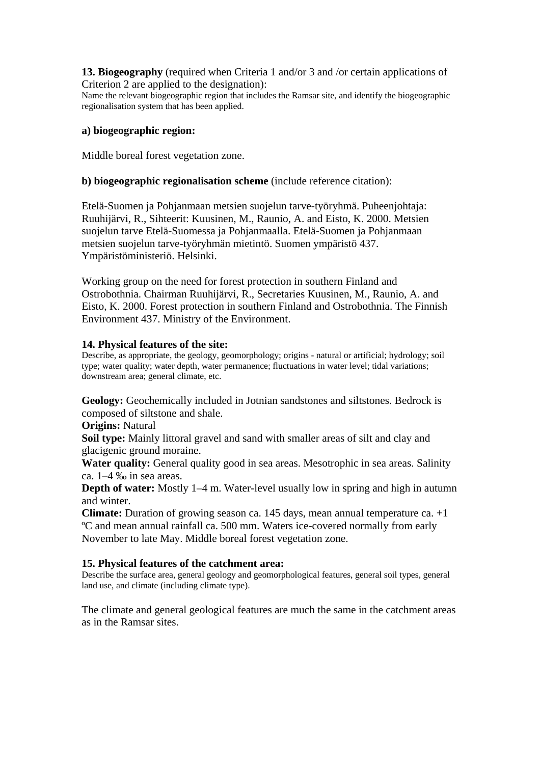**13. Biogeography** (required when Criteria 1 and/or 3 and /or certain applications of Criterion 2 are applied to the designation):

Name the relevant biogeographic region that includes the Ramsar site, and identify the biogeographic regionalisation system that has been applied.

#### **a) biogeographic region:**

Middle boreal forest vegetation zone.

#### **b) biogeographic regionalisation scheme** (include reference citation):

Etelä-Suomen ja Pohjanmaan metsien suojelun tarve-työryhmä. Puheenjohtaja: Ruuhijärvi, R., Sihteerit: Kuusinen, M., Raunio, A. and Eisto, K. 2000. Metsien suojelun tarve Etelä-Suomessa ja Pohjanmaalla. Etelä-Suomen ja Pohjanmaan metsien suojelun tarve-työryhmän mietintö. Suomen ympäristö 437. Ympäristöministeriö. Helsinki.

Working group on the need for forest protection in southern Finland and Ostrobothnia. Chairman Ruuhijärvi, R., Secretaries Kuusinen, M., Raunio, A. and Eisto, K. 2000. Forest protection in southern Finland and Ostrobothnia. The Finnish Environment 437. Ministry of the Environment.

#### **14. Physical features of the site:**

Describe, as appropriate, the geology, geomorphology; origins - natural or artificial; hydrology; soil type; water quality; water depth, water permanence; fluctuations in water level; tidal variations; downstream area; general climate, etc.

**Geology:** Geochemically included in Jotnian sandstones and siltstones. Bedrock is composed of siltstone and shale.

**Origins:** Natural

**Soil type:** Mainly littoral gravel and sand with smaller areas of silt and clay and glacigenic ground moraine.

**Water quality:** General quality good in sea areas. Mesotrophic in sea areas. Salinity ca. 1–4 ‰ in sea areas.

**Depth of water:** Mostly 1–4 m. Water-level usually low in spring and high in autumn and winter.

**Climate:** Duration of growing season ca. 145 days, mean annual temperature ca. +1 ºC and mean annual rainfall ca. 500 mm. Waters ice-covered normally from early November to late May. Middle boreal forest vegetation zone.

#### **15. Physical features of the catchment area:**

Describe the surface area, general geology and geomorphological features, general soil types, general land use, and climate (including climate type).

The climate and general geological features are much the same in the catchment areas as in the Ramsar sites.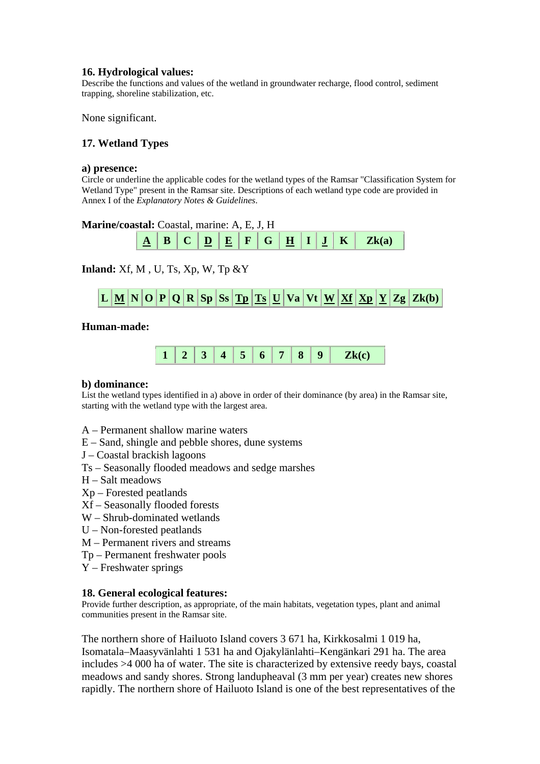# **16. Hydrological values:**

Describe the functions and values of the wetland in groundwater recharge, flood control, sediment trapping, shoreline stabilization, etc.

None significant.

# **17. Wetland Types**

#### **a) presence:**

Circle or underline the applicable codes for the wetland types of the Ramsar "Classification System for Wetland Type" present in the Ramsar site. Descriptions of each wetland type code are provided in Annex I of the *Explanatory Notes & Guidelines*.

# **Marine/coastal:** Coastal, marine: A, E, J, H



**Inland:** Xf, M , U, Ts, Xp, W, Tp &Y



#### **Human-made:**



#### **b) dominance:**

List the wetland types identified in a) above in order of their dominance (by area) in the Ramsar site, starting with the wetland type with the largest area.

- A Permanent shallow marine waters
- E Sand, shingle and pebble shores, dune systems
- J Coastal brackish lagoons
- Ts Seasonally flooded meadows and sedge marshes
- H Salt meadows
- Xp Forested peatlands
- Xf Seasonally flooded forests
- W Shrub-dominated wetlands
- U Non-forested peatlands
- M Permanent rivers and streams
- Tp Permanent freshwater pools
- Y Freshwater springs

#### **18. General ecological features:**

Provide further description, as appropriate, of the main habitats, vegetation types, plant and animal communities present in the Ramsar site.

The northern shore of Hailuoto Island covers 3 671 ha, Kirkkosalmi 1 019 ha, Isomatala–Maasyvänlahti 1 531 ha and Ojakylänlahti–Kengänkari 291 ha. The area includes >4 000 ha of water. The site is characterized by extensive reedy bays, coastal meadows and sandy shores. Strong landupheaval (3 mm per year) creates new shores rapidly. The northern shore of Hailuoto Island is one of the best representatives of the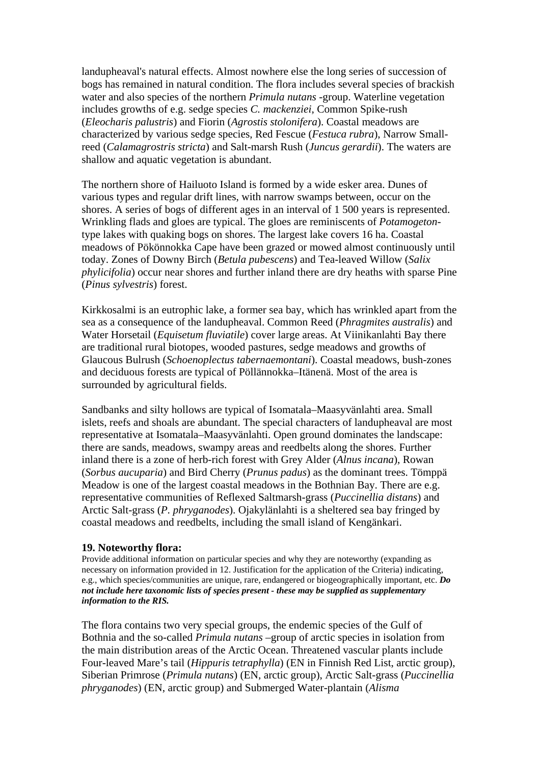landupheaval's natural effects. Almost nowhere else the long series of succession of bogs has remained in natural condition. The flora includes several species of brackish water and also species of the northern *Primula nutans* -group. Waterline vegetation includes growths of e.g. sedge species *C. mackenziei*, Common Spike-rush (*Eleocharis palustris*) and Fiorin (*Agrostis stolonifera*). Coastal meadows are characterized by various sedge species, Red Fescue (*Festuca rubra*), Narrow Smallreed (*Calamagrostris stricta*) and Salt-marsh Rush (*Juncus gerardii*). The waters are shallow and aquatic vegetation is abundant.

The northern shore of Hailuoto Island is formed by a wide esker area. Dunes of various types and regular drift lines, with narrow swamps between, occur on the shores. A series of bogs of different ages in an interval of 1 500 years is represented. Wrinkling flads and gloes are typical. The gloes are reminiscents of *Potamogeton*type lakes with quaking bogs on shores. The largest lake covers 16 ha. Coastal meadows of Pökönnokka Cape have been grazed or mowed almost continuously until today. Zones of Downy Birch (*Betula pubescens*) and Tea-leaved Willow (*Salix phylicifolia*) occur near shores and further inland there are dry heaths with sparse Pine (*Pinus sylvestris*) forest.

Kirkkosalmi is an eutrophic lake, a former sea bay, which has wrinkled apart from the sea as a consequence of the landupheaval. Common Reed (*Phragmites australis*) and Water Horsetail (*Equisetum fluviatile*) cover large areas. At Viinikanlahti Bay there are traditional rural biotopes, wooded pastures, sedge meadows and growths of Glaucous Bulrush (*Schoenoplectus tabernaemontani*). Coastal meadows, bush-zones and deciduous forests are typical of Pöllännokka–Itänenä. Most of the area is surrounded by agricultural fields.

Sandbanks and silty hollows are typical of Isomatala–Maasyvänlahti area. Small islets, reefs and shoals are abundant. The special characters of landupheaval are most representative at Isomatala–Maasyvänlahti. Open ground dominates the landscape: there are sands, meadows, swampy areas and reedbelts along the shores. Further inland there is a zone of herb-rich forest with Grey Alder (*Alnus incana*), Rowan (*Sorbus aucuparia*) and Bird Cherry (*Prunus padus*) as the dominant trees. Tömppä Meadow is one of the largest coastal meadows in the Bothnian Bay. There are e.g. representative communities of Reflexed Saltmarsh-grass (*Puccinellia distans*) and Arctic Salt-grass (*P. phryganodes*). Ojakylänlahti is a sheltered sea bay fringed by coastal meadows and reedbelts, including the small island of Kengänkari.

#### **19. Noteworthy flora:**

Provide additional information on particular species and why they are noteworthy (expanding as necessary on information provided in 12. Justification for the application of the Criteria) indicating, e.g., which species/communities are unique, rare, endangered or biogeographically important, etc. *Do not include here taxonomic lists of species present - these may be supplied as supplementary information to the RIS.* 

The flora contains two very special groups, the endemic species of the Gulf of Bothnia and the so-called *Primula nutans* –group of arctic species in isolation from the main distribution areas of the Arctic Ocean. Threatened vascular plants include Four-leaved Mare's tail (*Hippuris tetraphylla*) (EN in Finnish Red List, arctic group), Siberian Primrose (*Primula nutans*) (EN, arctic group), Arctic Salt-grass (*Puccinellia phryganodes*) (EN, arctic group) and Submerged Water-plantain (*Alisma*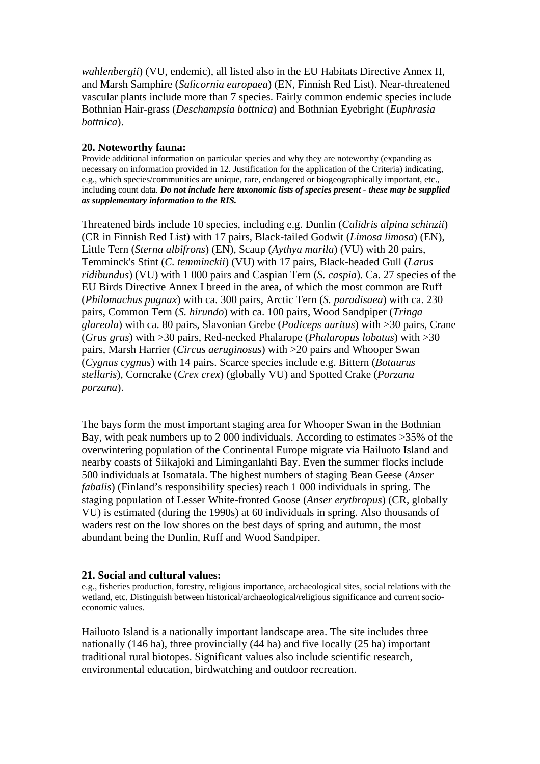*wahlenbergii*) (VU, endemic), all listed also in the EU Habitats Directive Annex II, and Marsh Samphire (*Salicornia europaea*) (EN, Finnish Red List). Near-threatened vascular plants include more than 7 species. Fairly common endemic species include Bothnian Hair-grass (*Deschampsia bottnica*) and Bothnian Eyebright (*Euphrasia bottnica*).

#### **20. Noteworthy fauna:**

Provide additional information on particular species and why they are noteworthy (expanding as necessary on information provided in 12. Justification for the application of the Criteria) indicating, e.g., which species/communities are unique, rare, endangered or biogeographically important, etc., including count data. *Do not include here taxonomic lists of species present - these may be supplied as supplementary information to the RIS.* 

Threatened birds include 10 species, including e.g. Dunlin (*Calidris alpina schinzii*) (CR in Finnish Red List) with 17 pairs, Black-tailed Godwit (*Limosa limosa*) (EN), Little Tern (*Sterna albifrons*) (EN), Scaup (*Aythya marila*) (VU) with 20 pairs, Temminck's Stint (*C. temminckii*) (VU) with 17 pairs, Black-headed Gull (*Larus ridibundus*) (VU) with 1 000 pairs and Caspian Tern (*S. caspia*). Ca. 27 species of the EU Birds Directive Annex I breed in the area, of which the most common are Ruff (*Philomachus pugnax*) with ca. 300 pairs, Arctic Tern (*S. paradisaea*) with ca. 230 pairs, Common Tern (*S. hirundo*) with ca. 100 pairs, Wood Sandpiper (*Tringa glareola*) with ca. 80 pairs, Slavonian Grebe (*Podiceps auritus*) with >30 pairs, Crane (*Grus grus*) with >30 pairs, Red-necked Phalarope (*Phalaropus lobatus*) with >30 pairs, Marsh Harrier (*Circus aeruginosus*) with >20 pairs and Whooper Swan (*Cygnus cygnus*) with 14 pairs. Scarce species include e.g. Bittern (*Botaurus stellaris*), Corncrake (*Crex crex*) (globally VU) and Spotted Crake (*Porzana porzana*).

The bays form the most important staging area for Whooper Swan in the Bothnian Bay, with peak numbers up to 2 000 individuals. According to estimates >35% of the overwintering population of the Continental Europe migrate via Hailuoto Island and nearby coasts of Siikajoki and Liminganlahti Bay. Even the summer flocks include 500 individuals at Isomatala. The highest numbers of staging Bean Geese (*Anser fabalis*) (Finland's responsibility species) reach 1 000 individuals in spring. The staging population of Lesser White-fronted Goose (*Anser erythropus*) (CR, globally VU) is estimated (during the 1990s) at 60 individuals in spring. Also thousands of waders rest on the low shores on the best days of spring and autumn, the most abundant being the Dunlin, Ruff and Wood Sandpiper.

#### **21. Social and cultural values:**

e.g., fisheries production, forestry, religious importance, archaeological sites, social relations with the wetland, etc. Distinguish between historical/archaeological/religious significance and current socioeconomic values.

Hailuoto Island is a nationally important landscape area. The site includes three nationally (146 ha), three provincially (44 ha) and five locally (25 ha) important traditional rural biotopes. Significant values also include scientific research, environmental education, birdwatching and outdoor recreation.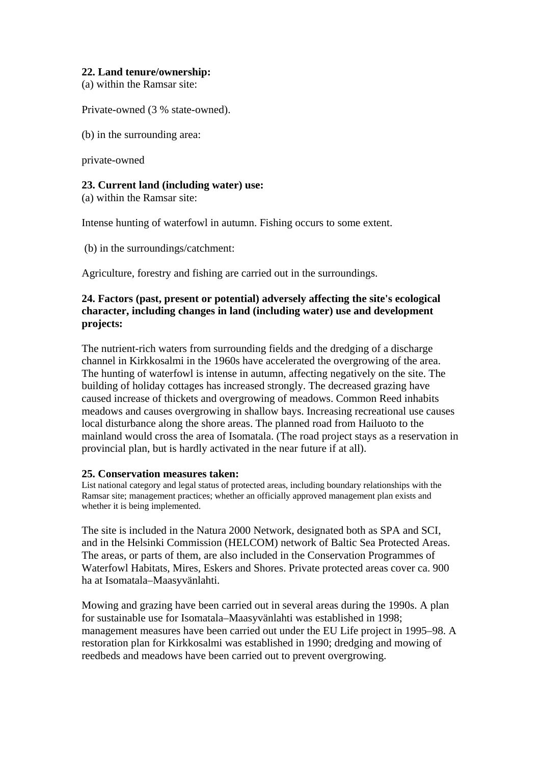# **22. Land tenure/ownership:**

(a) within the Ramsar site:

Private-owned (3 % state-owned).

(b) in the surrounding area:

private-owned

# **23. Current land (including water) use:**

(a) within the Ramsar site:

Intense hunting of waterfowl in autumn. Fishing occurs to some extent.

(b) in the surroundings/catchment:

Agriculture, forestry and fishing are carried out in the surroundings.

# **24. Factors (past, present or potential) adversely affecting the site's ecological character, including changes in land (including water) use and development projects:**

The nutrient-rich waters from surrounding fields and the dredging of a discharge channel in Kirkkosalmi in the 1960s have accelerated the overgrowing of the area. The hunting of waterfowl is intense in autumn, affecting negatively on the site. The building of holiday cottages has increased strongly. The decreased grazing have caused increase of thickets and overgrowing of meadows. Common Reed inhabits meadows and causes overgrowing in shallow bays. Increasing recreational use causes local disturbance along the shore areas. The planned road from Hailuoto to the mainland would cross the area of Isomatala. (The road project stays as a reservation in provincial plan, but is hardly activated in the near future if at all).

# **25. Conservation measures taken:**

List national category and legal status of protected areas, including boundary relationships with the Ramsar site; management practices; whether an officially approved management plan exists and whether it is being implemented.

The site is included in the Natura 2000 Network, designated both as SPA and SCI, and in the Helsinki Commission (HELCOM) network of Baltic Sea Protected Areas. The areas, or parts of them, are also included in the Conservation Programmes of Waterfowl Habitats, Mires, Eskers and Shores. Private protected areas cover ca. 900 ha at Isomatala–Maasyvänlahti.

Mowing and grazing have been carried out in several areas during the 1990s. A plan for sustainable use for Isomatala–Maasyvänlahti was established in 1998; management measures have been carried out under the EU Life project in 1995–98. A restoration plan for Kirkkosalmi was established in 1990; dredging and mowing of reedbeds and meadows have been carried out to prevent overgrowing.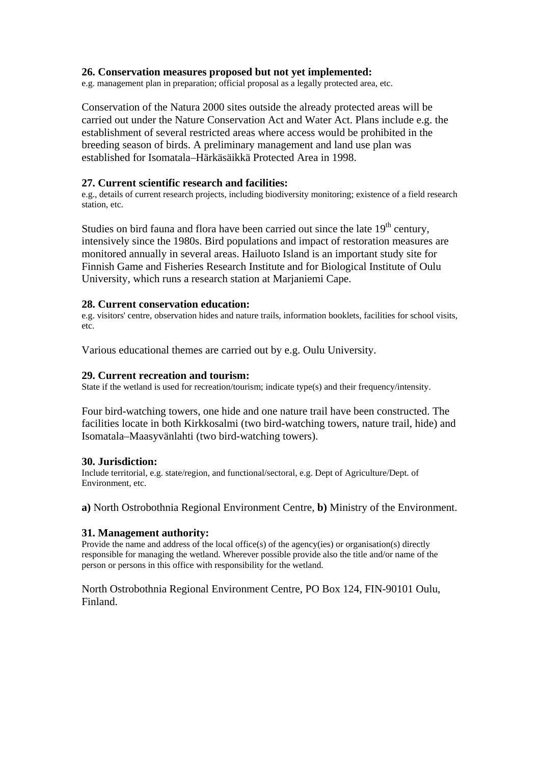#### **26. Conservation measures proposed but not yet implemented:**

e.g. management plan in preparation; official proposal as a legally protected area, etc.

Conservation of the Natura 2000 sites outside the already protected areas will be carried out under the Nature Conservation Act and Water Act. Plans include e.g. the establishment of several restricted areas where access would be prohibited in the breeding season of birds. A preliminary management and land use plan was established for Isomatala–Härkäsäikkä Protected Area in 1998.

#### **27. Current scientific research and facilities:**

e.g., details of current research projects, including biodiversity monitoring; existence of a field research station, etc.

Studies on bird fauna and flora have been carried out since the late  $19<sup>th</sup>$  century, intensively since the 1980s. Bird populations and impact of restoration measures are monitored annually in several areas. Hailuoto Island is an important study site for Finnish Game and Fisheries Research Institute and for Biological Institute of Oulu University, which runs a research station at Marjaniemi Cape.

#### **28. Current conservation education:**

e.g. visitors' centre, observation hides and nature trails, information booklets, facilities for school visits, etc.

Various educational themes are carried out by e.g. Oulu University.

#### **29. Current recreation and tourism:**

State if the wetland is used for recreation/tourism; indicate type(s) and their frequency/intensity.

Four bird-watching towers, one hide and one nature trail have been constructed. The facilities locate in both Kirkkosalmi (two bird-watching towers, nature trail, hide) and Isomatala–Maasyvänlahti (two bird-watching towers).

#### **30. Jurisdiction:**

Include territorial, e.g. state/region, and functional/sectoral, e.g. Dept of Agriculture/Dept. of Environment, etc.

**a)** North Ostrobothnia Regional Environment Centre, **b)** Ministry of the Environment.

# **31. Management authority:**

Provide the name and address of the local office(s) of the agency(ies) or organisation(s) directly responsible for managing the wetland. Wherever possible provide also the title and/or name of the person or persons in this office with responsibility for the wetland.

North Ostrobothnia Regional Environment Centre, PO Box 124, FIN-90101 Oulu, Finland.